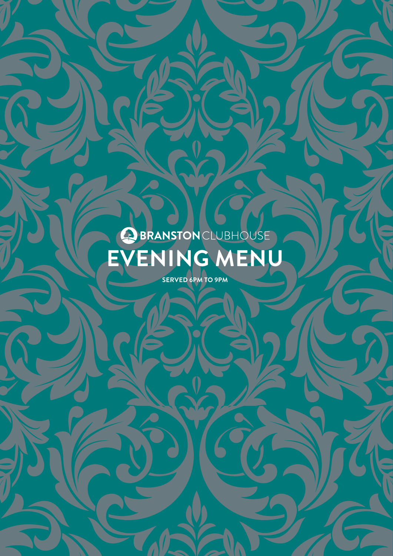# BRANSTONCLUBHOUSE **EVENING MENU**

**SERVED 6PM TO 9PM**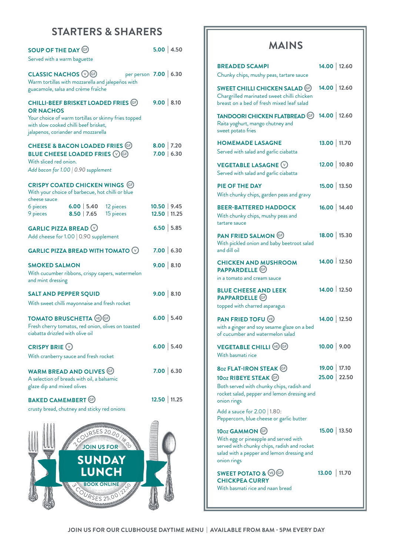## **STARTERS & SHARERS**

| <b>SOUP OF THE DAY GP</b>                                                                                                                                | 5.00   4.50                     |
|----------------------------------------------------------------------------------------------------------------------------------------------------------|---------------------------------|
| Served with a warm baguette                                                                                                                              |                                 |
| CLASSIC NACHOS VG<br>Warm tortillas with mozzarella and jalepeños with<br>guacamole, salsa and crème fraîche                                             | per person 7.00 6.30            |
| CHILLI-BEEF BRISKET LOADED FRIES @                                                                                                                       | 9.00   8.10                     |
| <b>OR NACHOS</b><br>Your choice of warm tortillas or skinny fries topped<br>with slow cooked chilli beef brisket,<br>jalapenos, coriander and mozzarella |                                 |
| CHEESE & BACON LOADED FRIES G<br><b>BLUE CHEESE LOADED FRIES 76</b><br>With sliced red onion.                                                            | $8.00$ 7.20<br>7.00   6.30      |
| Add bacon for 1.00   0.90 supplement                                                                                                                     |                                 |
| <b>CRISPY COATED CHICKEN WINGS GP</b><br>With your choice of barbecue, hot chilli or blue<br>cheese sauce                                                |                                 |
| $6.00$   5.40<br>6 pieces<br>12 pieces<br>$8.50$   7.65<br>15 pieces<br>9 pieces                                                                         | $10.50$   9.45<br>12.50   11.25 |
| <b>GARLIC PIZZA BREAD <math>\heartsuit</math></b>                                                                                                        | $6.50$ 5.85                     |
| Add cheese for 1.00   0.90 supplement                                                                                                                    |                                 |
| GARLIC PIZZA BREAD WITH TOMATO $\circledcirc$                                                                                                            | 7.00   6.30                     |
| <b>SMOKED SALMON</b>                                                                                                                                     | 9.00   8.10                     |
| With cucumber ribbons, crispy capers, watermelon<br>and mint dressing                                                                                    |                                 |
| <b>SALT AND PEPPER SQUID</b>                                                                                                                             | 9.00   8.10                     |
| With sweet chilli mayonnaise and fresh rocket                                                                                                            |                                 |
| <b>TOMATO BRUSCHETTA (B) GP</b><br>Fresh cherry tomatos, red onion, olives on toasted<br>ciabatta drizzled with olive oil                                | $6.00$ 5.40                     |
| <b>CRISPY BRIE</b> $\odot$                                                                                                                               | $6.00$ 5.40                     |
| With cranberry sauce and fresh rocket                                                                                                                    |                                 |
| <b>WARM BREAD AND OLIVES GF</b><br>A selection of breads with oil, a balsamic<br>glaze dip and mixed olives                                              | 7.00   6.30                     |
| <b>BAKED CAMEMBERT GP</b>                                                                                                                                | $12.50$   11.25                 |
| crusty bread, chutney and sticky red onions                                                                                                              |                                 |
| <b>MANARITY</b><br>COURSES 20.00 To P<br><b>JOIN US FOR</b><br>SUNDAY<br><b>LUNCH</b>                                                                    |                                 |
| <b>BOOK ONLINE</b><br>URSES 25.00                                                                                                                        |                                 |

## **MAINS**

| <b>BREADED SCAMPI</b><br>Chunky chips, mushy peas, tartare sauce                                                                                                                                                                             | 14.00   12.60                  |
|----------------------------------------------------------------------------------------------------------------------------------------------------------------------------------------------------------------------------------------------|--------------------------------|
| <b>SWEET CHILLI CHICKEN SALAD GF</b><br>Chargrilled marinated sweet chilli chicken<br>breast on a bed of fresh mixed leaf salad                                                                                                              | 14.00   12.60                  |
| <b>TANDOORI CHICKEN FLATBREAD GP</b><br>Raita yoghurt, mango chutney and<br>sweet potato fries                                                                                                                                               | 14.00   12.60                  |
| <b>HOMEMADE LASAGNE</b><br>Served with salad and garlic ciabatta                                                                                                                                                                             | 13.00   11.70                  |
| <b>VEGETABLE LASAGNE <math>\heartsuit</math></b><br>Served with salad and garlic ciabatta                                                                                                                                                    | 12.00 10.80                    |
| <b>PIE OF THE DAY</b><br>With chunky chips, garden peas and gravy                                                                                                                                                                            | 15.00   13.50                  |
| <b>BEER-BATTERED HADDOCK</b><br>With chunky chips, mushy peas and<br>tartare sauce                                                                                                                                                           | 16.00   14.40                  |
| PAN FRIED SALMON GP<br>With pickled onion and baby beetroot salad<br>and dill oil                                                                                                                                                            | 18.00   15.30                  |
| <b>CHICKEN AND MUSHROOM</b><br>PAPPARDELLE <sup>G</sup><br>in a tomato and cream sauce                                                                                                                                                       | 14.00   12.50                  |
| <b>BLUE CHEESE AND LEEK</b><br><b>PAPPARDELLE</b> C<br>topped with charred asparagus                                                                                                                                                         | 14.00   12.50                  |
| <b>PAN FRIED TOFU (E)</b><br>with a ginger and soy sesame glaze on a bed<br>of cucumber and watermelon salad                                                                                                                                 | 14.00   12.50                  |
| <b>VEGETABLE CHILLI</b> (E) GP<br>With basmati rice                                                                                                                                                                                          | 10.00   9.00                   |
| <b>8oz FLAT-IRON STEAK GP</b><br>10oz RIBEYE STEAK CD<br>Both served with chunky chips, radish and<br>rocket salad, pepper and lemon dressing and<br>onion rings<br>Add a sauce for 2.00   1.80:<br>Peppercorn, blue cheese or garlic butter | 19.00   17.10<br>25.00   22.50 |
| 10oz GAMMON GP<br>With egg or pineapple and served with<br>served with chunky chips, radish and rocket<br>salad with a pepper and lemon dressing and<br>onion rings                                                                          | 15.00   13.50                  |
| <b>SWEET POTATO &amp; (VE) GF)</b><br><b>CHICKPEA CURRY</b><br>With basmati rice and naan bread                                                                                                                                              | 13.00   11.70                  |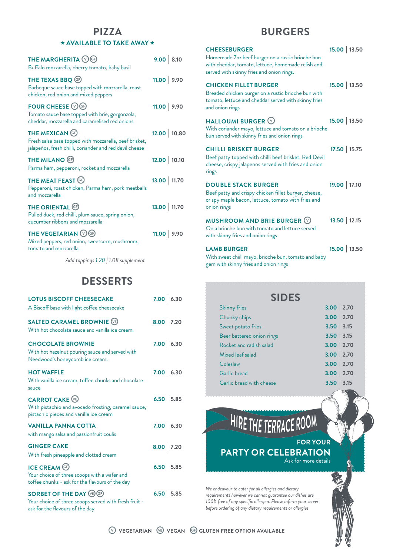#### **PIZZA**  \*\* **AVAILABLE TO TAKE AWAY** \*\*

| THE MARGHERITA $\mathbb{O}$ GP<br>Buffalo mozzarella, cherry tomato, baby basil                                                            | 9.00   8.10   |
|--------------------------------------------------------------------------------------------------------------------------------------------|---------------|
| THE TEXAS BBQ <sup>(G)</sup><br>Barbeque sauce base topped with mozzarella, roast<br>chicken, red onion and mixed peppers                  | $11.00$ 9.90  |
| FOUR CHEESE $\circledcirc$ GP<br>Tomato sauce base topped with brie, gorgonzola,<br>cheddar, mozzarella and caramelised red onions         | $11.00$ 9.90  |
| <b>THE MEXICAN GD</b><br>Fresh salsa base topped with mozzarella, beef brisket,<br>jalapeños, fresh chilli, coriander and red devil cheese | 12.00   10.80 |
| <b>THE MILANO</b> <sup>G</sup><br>Parma ham, pepperoni, rocket and mozzarella                                                              | 12.00 10.10   |
| THE MEAT FEAST G<br>Pepperoni, roast chicken, Parma ham, pork meatballs<br>and mozzarella                                                  | 13.00   11.70 |
| <b>THE ORIENTAL GP</b><br>Pulled duck, red chilli, plum sauce, spring onion,<br>cucumber ribbons and mozzarella                            | 13.00   11.70 |
| THE VEGETARIAN <b>OG</b><br>Mixed peppers, red onion, sweetcorn, mushroom,<br>tomato and mozzarella                                        | $11.00$ 9.90  |

*Add toppings 1.20 | 1.08 supplement*

### **DESSERTS**

| <b>LOTUS BISCOFF CHEESECAKE</b><br>A Biscoff base with light coffee cheesecake                                              | 7.00   6.30 |
|-----------------------------------------------------------------------------------------------------------------------------|-------------|
| <b>SALTED CARAMEL BROWNIE (VE)</b><br>With hot chocolate sauce and vanilla ice cream.                                       | $8.00$ 7.20 |
| <b>CHOCOLATE BROWNIE</b><br>With hot hazelnut pouring sauce and served with<br>Needwood's honeycomb ice cream.              | 7.00   6.30 |
| <b>HOT WAFFLE</b><br>With vanilla ice cream, toffee chunks and chocolate<br>sauce                                           | 7.00   6.30 |
| <b>CARROT CAKE (B)</b><br>With pistachio and avocado frosting, caramel sauce,<br>pistachio pieces and vanilla ice cream     | $6.50$ 5.85 |
| <b>VANILLA PANNA COTTA</b><br>with mango salsa and passionfruit coulis                                                      | 7.00   6.30 |
| <b>GINGER CAKE</b><br>With fresh pineapple and clotted cream                                                                | $8.00$ 7.20 |
| <b>ICE CREAM C</b><br>Your choice of three scoops with a wafer and<br>toffee chunks - ask for the flavours of the day       | $6.50$ 5.85 |
| <b>SORBET OF THE DAY (B) GP</b><br>Your choice of three scoops served with fresh fruit -<br>ask for the flavours of the day | $6.50$ 5.85 |

## **BURGERS**

| <b>CHEESEBURGER</b><br>Homemade 7oz beef burger on a rustic brioche bun<br>with cheddar, tomato, lettuce, homemade relish and<br>served with skinny fries and onion rings. | 15.00   13.50 |
|----------------------------------------------------------------------------------------------------------------------------------------------------------------------------|---------------|
| <b>CHICKEN FILLET BURGER</b><br>Breaded chicken burger on a rustic brioche bun with<br>tomato, lettuce and cheddar served with skinny fries<br>and onion rings             | 15.00   13.50 |
| HALLOUMI BURGER V<br>With coriander mayo, lettuce and tomato on a brioche<br>bun served with skinny fries and onion rings                                                  | 15.00   13.50 |
| <b>CHILLI BRISKET BURGER</b><br>Beef patty topped with chilli beef brisket, Red Devil<br>cheese, crispy jalapenos served with fries and onion<br>rings                     | 17.50   15.75 |
| <b>DOUBLE STACK BURGER</b><br>Beef patty and crispy chicken fillet burger, cheese,<br>crispy maple bacon, lettuce, tomato with fries and<br>onion rings                    | 19.00   17.10 |
| MUSHROOM AND BRIE BURGER $\heartsuit$<br>On a brioche bun with tomato and lettuce served<br>with skinny fries and onion rings                                              | 13.50 12.15   |
| <b>LAMB BURGER</b><br>With sweet chiili mayo, brioche bun, tomato and baby                                                                                                 | 15.00   13.50 |

gem with skinny fries and onion rings

| <b>SIDES</b>              |               |  |
|---------------------------|---------------|--|
| <b>Skinny fries</b>       | $3.00$   2.70 |  |
| Chunky chips              | $3.00$   2.70 |  |
| Sweet potato fries        | $3.50$   3.15 |  |
| Beer battered onion rings | $3.50$   3.15 |  |
| Rocket and radish salad   | $3.00$   2.70 |  |
| Mixed leaf salad          | $3.00$   2.70 |  |
| Coleslaw                  | $3.00$   2.70 |  |
| Garlic bread              | $3.00$   2.70 |  |
| Garlic bread with cheese  | $3.50$   3.15 |  |

*We endeavour to cater for all allergies and dietary requirements however we cannot guarantee our dishes are 100% free of any specific allergen. Please inform your server before ordering of any dietary requirements or allergies* 

**PARTY OR CELEBRATION**

HIRE THE TERRACE ROOM



**FOR YOUR** 

Ask for more details